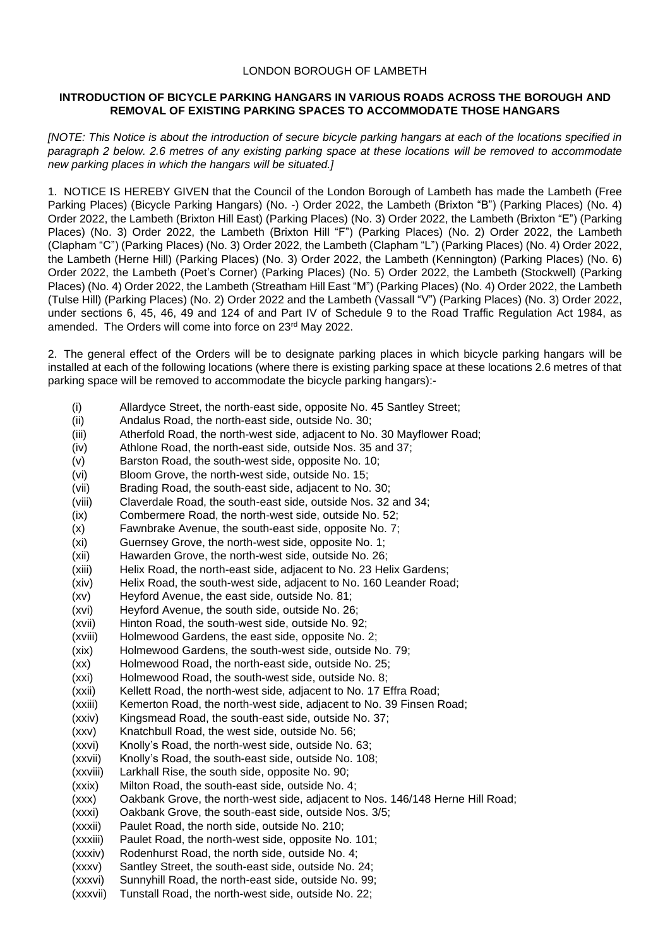## LONDON BOROUGH OF LAMBETH

## **INTRODUCTION OF BICYCLE PARKING HANGARS IN VARIOUS ROADS ACROSS THE BOROUGH AND REMOVAL OF EXISTING PARKING SPACES TO ACCOMMODATE THOSE HANGARS**

*[NOTE: This Notice is about the introduction of secure bicycle parking hangars at each of the locations specified in paragraph 2 below. 2.6 metres of any existing parking space at these locations will be removed to accommodate new parking places in which the hangars will be situated.]*

1. NOTICE IS HEREBY GIVEN that the Council of the London Borough of Lambeth has made the Lambeth (Free Parking Places) (Bicycle Parking Hangars) (No. -) Order 2022, the Lambeth (Brixton "B") (Parking Places) (No. 4) Order 2022, the Lambeth (Brixton Hill East) (Parking Places) (No. 3) Order 2022, the Lambeth (Brixton "E") (Parking Places) (No. 3) Order 2022, the Lambeth (Brixton Hill "F") (Parking Places) (No. 2) Order 2022, the Lambeth (Clapham "C") (Parking Places) (No. 3) Order 2022, the Lambeth (Clapham "L") (Parking Places) (No. 4) Order 2022, the Lambeth (Herne Hill) (Parking Places) (No. 3) Order 2022, the Lambeth (Kennington) (Parking Places) (No. 6) Order 2022, the Lambeth (Poet's Corner) (Parking Places) (No. 5) Order 2022, the Lambeth (Stockwell) (Parking Places) (No. 4) Order 2022, the Lambeth (Streatham Hill East "M") (Parking Places) (No. 4) Order 2022, the Lambeth (Tulse Hill) (Parking Places) (No. 2) Order 2022 and the Lambeth (Vassall "V") (Parking Places) (No. 3) Order 2022, under sections 6, 45, 46, 49 and 124 of and Part IV of Schedule 9 to the Road Traffic Regulation Act 1984, as amended. The Orders will come into force on 23rd May 2022.

2. The general effect of the Orders will be to designate parking places in which bicycle parking hangars will be installed at each of the following locations (where there is existing parking space at these locations 2.6 metres of that parking space will be removed to accommodate the bicycle parking hangars):-

- (i) Allardyce Street, the north-east side, opposite No. 45 Santley Street;
- (ii) Andalus Road, the north-east side, outside No. 30;
- (iii) Atherfold Road, the north-west side, adjacent to No. 30 Mayflower Road;
- (iv) Athlone Road, the north-east side, outside Nos. 35 and 37;
- (v) Barston Road, the south-west side, opposite No. 10;
- (vi) Bloom Grove, the north-west side, outside No. 15;
- (vii) Brading Road, the south-east side, adjacent to No. 30;
- (viii) Claverdale Road, the south-east side, outside Nos. 32 and 34;
- (ix) Combermere Road, the north-west side, outside No. 52;
- (x) Fawnbrake Avenue, the south-east side, opposite No. 7;
- (xi) Guernsey Grove, the north-west side, opposite No. 1;
- (xii) Hawarden Grove, the north-west side, outside No. 26;
- (xiii) Helix Road, the north-east side, adjacent to No. 23 Helix Gardens;
- (xiv) Helix Road, the south-west side, adjacent to No. 160 Leander Road;
- (xv) Heyford Avenue, the east side, outside No. 81;
- (xvi) Heyford Avenue, the south side, outside No. 26;
- (xvii) Hinton Road, the south-west side, outside No. 92;
- (xviii) Holmewood Gardens, the east side, opposite No. 2;
- (xix) Holmewood Gardens, the south-west side, outside No. 79;
- (xx) Holmewood Road, the north-east side, outside No. 25;
- (xxi) Holmewood Road, the south-west side, outside No. 8;
- (xxii) Kellett Road, the north-west side, adjacent to No. 17 Effra Road;
- (xxiii) Kemerton Road, the north-west side, adjacent to No. 39 Finsen Road;
- (xxiv) Kingsmead Road, the south-east side, outside No. 37;
- (xxv) Knatchbull Road, the west side, outside No. 56;
- (xxvi) Knolly's Road, the north-west side, outside No. 63;
- (xxvii) Knolly's Road, the south-east side, outside No. 108;
- (xxviii) Larkhall Rise, the south side, opposite No. 90;
- (xxix) Milton Road, the south-east side, outside No. 4;
- (xxx) Oakbank Grove, the north-west side, adjacent to Nos. 146/148 Herne Hill Road;
- (xxxi) Oakbank Grove, the south-east side, outside Nos. 3/5;
- (xxxii) Paulet Road, the north side, outside No. 210;
- (xxxiii) Paulet Road, the north-west side, opposite No. 101;
- (xxxiv) Rodenhurst Road, the north side, outside No. 4;
- (xxxv) Santley Street, the south-east side, outside No. 24;
- (xxxvi) Sunnyhill Road, the north-east side, outside No. 99;
- (xxxvii) Tunstall Road, the north-west side, outside No. 22;